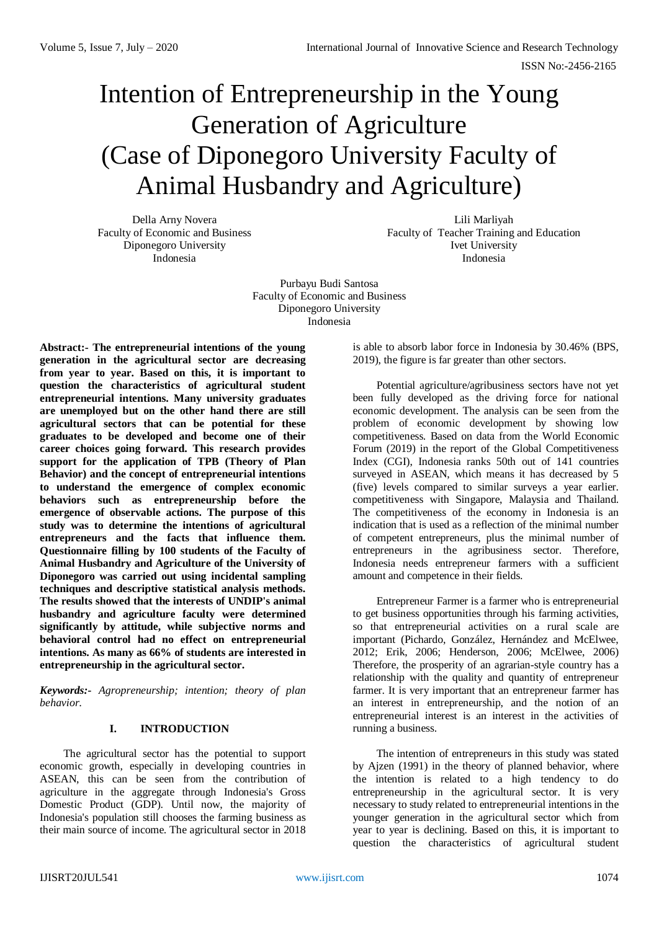# Intention of Entrepreneurship in the Young Generation of Agriculture (Case of Diponegoro University Faculty of Animal Husbandry and Agriculture)

Della Arny Novera Faculty of Economic and Business Diponegoro University Indonesia

Lili Marliyah Faculty of Teacher Training and Education Ivet University Indonesia

Purbayu Budi Santosa Faculty of Economic and Business Diponegoro University Indonesia

**Abstract:- The entrepreneurial intentions of the young generation in the agricultural sector are decreasing from year to year. Based on this, it is important to question the characteristics of agricultural student entrepreneurial intentions. Many university graduates are unemployed but on the other hand there are still agricultural sectors that can be potential for these graduates to be developed and become one of their career choices going forward. This research provides support for the application of TPB (Theory of Plan Behavior) and the concept of entrepreneurial intentions to understand the emergence of complex economic behaviors such as entrepreneurship before the emergence of observable actions. The purpose of this study was to determine the intentions of agricultural entrepreneurs and the facts that influence them. Questionnaire filling by 100 students of the Faculty of Animal Husbandry and Agriculture of the University of Diponegoro was carried out using incidental sampling techniques and descriptive statistical analysis methods. The results showed that the interests of UNDIP's animal husbandry and agriculture faculty were determined significantly by attitude, while subjective norms and behavioral control had no effect on entrepreneurial intentions. As many as 66% of students are interested in entrepreneurship in the agricultural sector.**

*Keywords:- Agropreneurship; intention; theory of plan behavior.*

# **I. INTRODUCTION**

The agricultural sector has the potential to support economic growth, especially in developing countries in ASEAN, this can be seen from the contribution of agriculture in the aggregate through Indonesia's Gross Domestic Product (GDP). Until now, the majority of Indonesia's population still chooses the farming business as their main source of income. The agricultural sector in 2018 is able to absorb labor force in Indonesia by 30.46% (BPS, 2019), the figure is far greater than other sectors.

Potential agriculture/agribusiness sectors have not yet been fully developed as the driving force for national economic development. The analysis can be seen from the problem of economic development by showing low competitiveness. Based on data from the World Economic Forum (2019) in the report of the Global Competitiveness Index (CGI), Indonesia ranks 50th out of 141 countries surveyed in ASEAN, which means it has decreased by 5 (five) levels compared to similar surveys a year earlier. competitiveness with Singapore, Malaysia and Thailand. The competitiveness of the economy in Indonesia is an indication that is used as a reflection of the minimal number of competent entrepreneurs, plus the minimal number of entrepreneurs in the agribusiness sector. Therefore, Indonesia needs entrepreneur farmers with a sufficient amount and competence in their fields.

Entrepreneur Farmer is a farmer who is entrepreneurial to get business opportunities through his farming activities, so that entrepreneurial activities on a rural scale are important (Pichardo, González, Hernández and McElwee, 2012; Erik, 2006; Henderson, 2006; McElwee, 2006) Therefore, the prosperity of an agrarian-style country has a relationship with the quality and quantity of entrepreneur farmer. It is very important that an entrepreneur farmer has an interest in entrepreneurship, and the notion of an entrepreneurial interest is an interest in the activities of running a business.

The intention of entrepreneurs in this study was stated by Ajzen (1991) in the theory of planned behavior, where the intention is related to a high tendency to do entrepreneurship in the agricultural sector. It is very necessary to study related to entrepreneurial intentions in the younger generation in the agricultural sector which from year to year is declining. Based on this, it is important to question the characteristics of agricultural student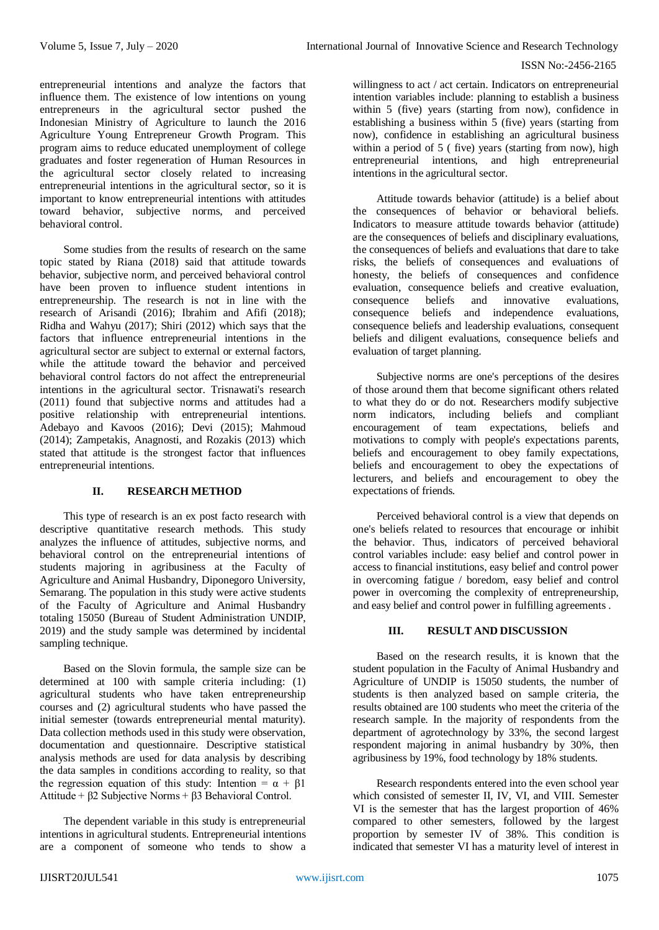entrepreneurial intentions and analyze the factors that influence them. The existence of low intentions on young entrepreneurs in the agricultural sector pushed the Indonesian Ministry of Agriculture to launch the 2016 Agriculture Young Entrepreneur Growth Program. This program aims to reduce educated unemployment of college graduates and foster regeneration of Human Resources in the agricultural sector closely related to increasing entrepreneurial intentions in the agricultural sector, so it is important to know entrepreneurial intentions with attitudes toward behavior, subjective norms, and perceived behavioral control.

Some studies from the results of research on the same topic stated by Riana (2018) said that attitude towards behavior, subjective norm, and perceived behavioral control have been proven to influence student intentions in entrepreneurship. The research is not in line with the research of Arisandi (2016); Ibrahim and Afifi (2018); Ridha and Wahyu (2017); Shiri (2012) which says that the factors that influence entrepreneurial intentions in the agricultural sector are subject to external or external factors, while the attitude toward the behavior and perceived behavioral control factors do not affect the entrepreneurial intentions in the agricultural sector. Trisnawati's research (2011) found that subjective norms and attitudes had a positive relationship with entrepreneurial intentions. Adebayo and Kavoos (2016); Devi (2015); Mahmoud (2014); Zampetakis, Anagnosti, and Rozakis (2013) which stated that attitude is the strongest factor that influences entrepreneurial intentions.

# **II. RESEARCH METHOD**

This type of research is an ex post facto research with descriptive quantitative research methods. This study analyzes the influence of attitudes, subjective norms, and behavioral control on the entrepreneurial intentions of students majoring in agribusiness at the Faculty of Agriculture and Animal Husbandry, Diponegoro University, Semarang. The population in this study were active students of the Faculty of Agriculture and Animal Husbandry totaling 15050 (Bureau of Student Administration UNDIP, 2019) and the study sample was determined by incidental sampling technique.

Based on the Slovin formula, the sample size can be determined at 100 with sample criteria including: (1) agricultural students who have taken entrepreneurship courses and (2) agricultural students who have passed the initial semester (towards entrepreneurial mental maturity). Data collection methods used in this study were observation, documentation and questionnaire. Descriptive statistical analysis methods are used for data analysis by describing the data samples in conditions according to reality, so that the regression equation of this study: Intention =  $\alpha + \beta$ 1 Attitude + β2 Subjective Norms + β3 Behavioral Control.

The dependent variable in this study is entrepreneurial intentions in agricultural students. Entrepreneurial intentions are a component of someone who tends to show a

willingness to act / act certain. Indicators on entrepreneurial intention variables include: planning to establish a business within 5 (five) years (starting from now), confidence in establishing a business within 5 (five) years (starting from now), confidence in establishing an agricultural business within a period of 5 ( five) years (starting from now), high entrepreneurial intentions, and high entrepreneurial intentions in the agricultural sector.

Attitude towards behavior (attitude) is a belief about the consequences of behavior or behavioral beliefs. Indicators to measure attitude towards behavior (attitude) are the consequences of beliefs and disciplinary evaluations, the consequences of beliefs and evaluations that dare to take risks, the beliefs of consequences and evaluations of honesty, the beliefs of consequences and confidence evaluation, consequence beliefs and creative evaluation, consequence beliefs and innovative evaluations, consequence beliefs and independence evaluations, consequence beliefs and leadership evaluations, consequent beliefs and diligent evaluations, consequence beliefs and evaluation of target planning.

Subjective norms are one's perceptions of the desires of those around them that become significant others related to what they do or do not. Researchers modify subjective norm indicators, including beliefs and compliant encouragement of team expectations, beliefs and motivations to comply with people's expectations parents, beliefs and encouragement to obey family expectations, beliefs and encouragement to obey the expectations of lecturers, and beliefs and encouragement to obey the expectations of friends.

Perceived behavioral control is a view that depends on one's beliefs related to resources that encourage or inhibit the behavior. Thus, indicators of perceived behavioral control variables include: easy belief and control power in access to financial institutions, easy belief and control power in overcoming fatigue / boredom, easy belief and control power in overcoming the complexity of entrepreneurship, and easy belief and control power in fulfilling agreements .

# **III. RESULT AND DISCUSSION**

Based on the research results, it is known that the student population in the Faculty of Animal Husbandry and Agriculture of UNDIP is 15050 students, the number of students is then analyzed based on sample criteria, the results obtained are 100 students who meet the criteria of the research sample. In the majority of respondents from the department of agrotechnology by 33%, the second largest respondent majoring in animal husbandry by 30%, then agribusiness by 19%, food technology by 18% students.

Research respondents entered into the even school year which consisted of semester II, IV, VI, and VIII. Semester VI is the semester that has the largest proportion of 46% compared to other semesters, followed by the largest proportion by semester IV of 38%. This condition is indicated that semester VI has a maturity level of interest in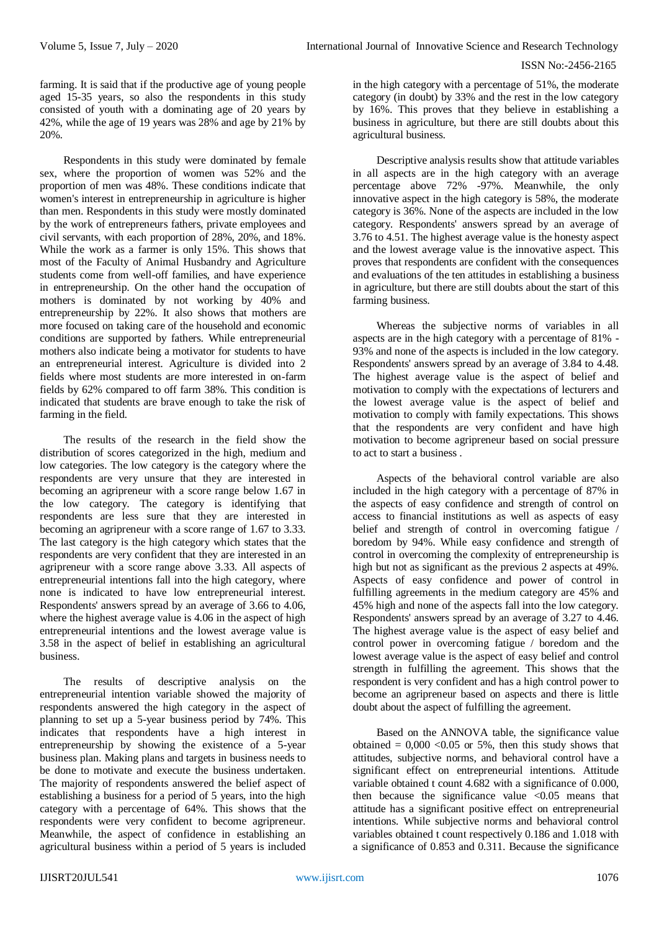farming. It is said that if the productive age of young people aged 15-35 years, so also the respondents in this study consisted of youth with a dominating age of 20 years by 42%, while the age of 19 years was 28% and age by 21% by 20%.

Respondents in this study were dominated by female sex, where the proportion of women was 52% and the proportion of men was 48%. These conditions indicate that women's interest in entrepreneurship in agriculture is higher than men. Respondents in this study were mostly dominated by the work of entrepreneurs fathers, private employees and civil servants, with each proportion of 28%, 20%, and 18%. While the work as a farmer is only 15%. This shows that most of the Faculty of Animal Husbandry and Agriculture students come from well-off families, and have experience in entrepreneurship. On the other hand the occupation of mothers is dominated by not working by 40% and entrepreneurship by 22%. It also shows that mothers are more focused on taking care of the household and economic conditions are supported by fathers. While entrepreneurial mothers also indicate being a motivator for students to have an entrepreneurial interest. Agriculture is divided into 2 fields where most students are more interested in on-farm fields by 62% compared to off farm 38%. This condition is indicated that students are brave enough to take the risk of farming in the field.

The results of the research in the field show the distribution of scores categorized in the high, medium and low categories. The low category is the category where the respondents are very unsure that they are interested in becoming an agripreneur with a score range below 1.67 in the low category. The category is identifying that respondents are less sure that they are interested in becoming an agripreneur with a score range of 1.67 to 3.33. The last category is the high category which states that the respondents are very confident that they are interested in an agripreneur with a score range above 3.33. All aspects of entrepreneurial intentions fall into the high category, where none is indicated to have low entrepreneurial interest. Respondents' answers spread by an average of 3.66 to 4.06, where the highest average value is 4.06 in the aspect of high entrepreneurial intentions and the lowest average value is 3.58 in the aspect of belief in establishing an agricultural business.

The results of descriptive analysis on the entrepreneurial intention variable showed the majority of respondents answered the high category in the aspect of planning to set up a 5-year business period by 74%. This indicates that respondents have a high interest in entrepreneurship by showing the existence of a 5-year business plan. Making plans and targets in business needs to be done to motivate and execute the business undertaken. The majority of respondents answered the belief aspect of establishing a business for a period of 5 years, into the high category with a percentage of 64%. This shows that the respondents were very confident to become agripreneur. Meanwhile, the aspect of confidence in establishing an agricultural business within a period of 5 years is included

in the high category with a percentage of 51%, the moderate category (in doubt) by 33% and the rest in the low category by 16%. This proves that they believe in establishing a business in agriculture, but there are still doubts about this agricultural business.

Descriptive analysis results show that attitude variables in all aspects are in the high category with an average percentage above 72% -97%. Meanwhile, the only innovative aspect in the high category is 58%, the moderate category is 36%. None of the aspects are included in the low category. Respondents' answers spread by an average of 3.76 to 4.51. The highest average value is the honesty aspect and the lowest average value is the innovative aspect. This proves that respondents are confident with the consequences and evaluations of the ten attitudes in establishing a business in agriculture, but there are still doubts about the start of this farming business.

Whereas the subjective norms of variables in all aspects are in the high category with a percentage of 81% - 93% and none of the aspects is included in the low category. Respondents' answers spread by an average of 3.84 to 4.48. The highest average value is the aspect of belief and motivation to comply with the expectations of lecturers and the lowest average value is the aspect of belief and motivation to comply with family expectations. This shows that the respondents are very confident and have high motivation to become agripreneur based on social pressure to act to start a business .

Aspects of the behavioral control variable are also included in the high category with a percentage of 87% in the aspects of easy confidence and strength of control on access to financial institutions as well as aspects of easy belief and strength of control in overcoming fatigue / boredom by 94%. While easy confidence and strength of control in overcoming the complexity of entrepreneurship is high but not as significant as the previous 2 aspects at 49%. Aspects of easy confidence and power of control in fulfilling agreements in the medium category are 45% and 45% high and none of the aspects fall into the low category. Respondents' answers spread by an average of 3.27 to 4.46. The highest average value is the aspect of easy belief and control power in overcoming fatigue / boredom and the lowest average value is the aspect of easy belief and control strength in fulfilling the agreement. This shows that the respondent is very confident and has a high control power to become an agripreneur based on aspects and there is little doubt about the aspect of fulfilling the agreement.

Based on the ANNOVA table, the significance value obtained  $= 0.000 \le 0.05$  or 5%, then this study shows that attitudes, subjective norms, and behavioral control have a significant effect on entrepreneurial intentions. Attitude variable obtained t count 4.682 with a significance of 0.000, then because the significance value  $\langle 0.05 \rangle$  means that attitude has a significant positive effect on entrepreneurial intentions. While subjective norms and behavioral control variables obtained t count respectively 0.186 and 1.018 with a significance of 0.853 and 0.311. Because the significance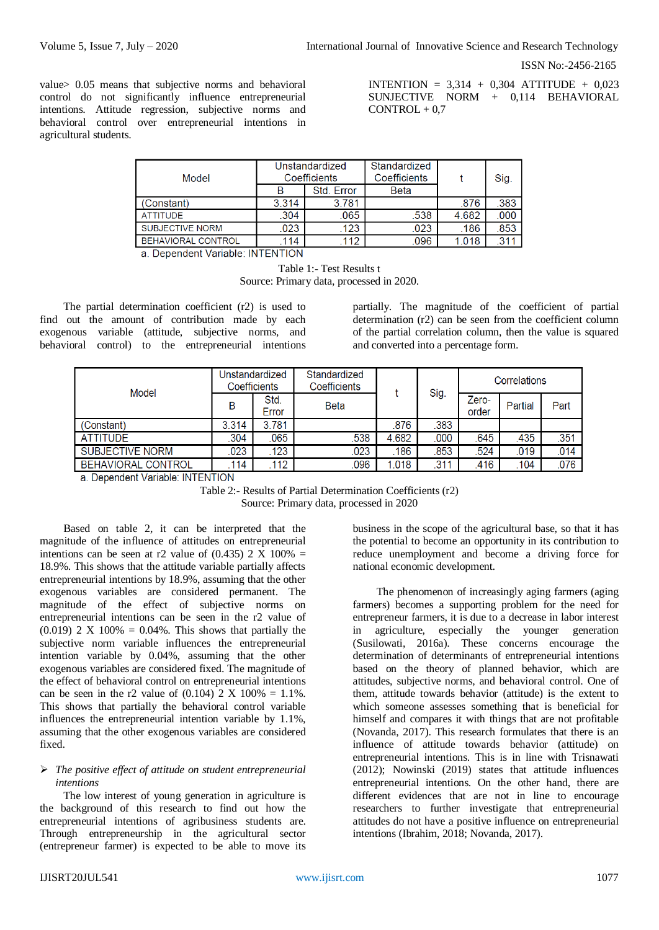value> 0.05 means that subjective norms and behavioral control do not significantly influence entrepreneurial intentions. Attitude regression, subjective norms and behavioral control over entrepreneurial intentions in agricultural students.

INTENTION =  $3.314 + 0.304$  ATTITUDE + 0.023 SUNJECTIVE NORM + 0,114 BEHAVIORAL  $CONTROL + 0.7$ 

| Model                     |       | Unstandardized<br>Coefficients | Standardized<br>Coefficients |       | Sig. |
|---------------------------|-------|--------------------------------|------------------------------|-------|------|
|                           |       | Std. Error                     | <b>Beta</b>                  |       |      |
| (Constant)                | 3.314 | 3.781                          |                              | .876  | .383 |
| <b>ATTITUDE</b>           | .304  | .065                           | .538                         | 4.682 | .000 |
| <b>SUBJECTIVE NORM</b>    | .023  | .123                           | .023                         | .186  | 853  |
| <b>BEHAVIORAL CONTROL</b> | .114  | .112                           | .096                         | 1.018 | .311 |

a. Dependent Variable: INTENTION

Table 1:- Test Results t Source: Primary data, processed in 2020.

The partial determination coefficient (r2) is used to find out the amount of contribution made by each exogenous variable (attitude, subjective norms, and behavioral control) to the entrepreneurial intentions partially. The magnitude of the coefficient of partial determination (r2) can be seen from the coefficient column of the partial correlation column, then the value is squared and converted into a percentage form.

| Model                     | Unstandardized<br>Coefficients |               | Standardized<br>Coefficients |       |      | Correlations   |         |      |
|---------------------------|--------------------------------|---------------|------------------------------|-------|------|----------------|---------|------|
|                           | В                              | Std.<br>Error | <b>Beta</b>                  |       | Sig. | Zero-<br>order | Partial | Part |
| (Constant)                | 3.314                          | 3.781         |                              | .876  | .383 |                |         |      |
| <b>ATTITUDE</b>           | .304                           | .065          | .538                         | 4.682 | .000 | .645           | .435    | .351 |
| <b>SUBJECTIVE NORM</b>    | .023                           | 123           | .023                         | .186  | .853 | .524           | .019    | .014 |
| <b>BEHAVIORAL CONTROL</b> | .114                           | .112          | .096                         | 1.018 | .311 | .416           | .104    | .076 |

a. Dependent Variable: INTENTION

Table 2:- Results of Partial Determination Coefficients (r2) Source: Primary data, processed in 2020

Based on table 2, it can be interpreted that the magnitude of the influence of attitudes on entrepreneurial intentions can be seen at r2 value of  $(0.435)$  2 X 100% = 18.9%. This shows that the attitude variable partially affects entrepreneurial intentions by 18.9%, assuming that the other exogenous variables are considered permanent. The magnitude of the effect of subjective norms on entrepreneurial intentions can be seen in the r2 value of  $(0.019)$  2 X 100% = 0.04%. This shows that partially the subjective norm variable influences the entrepreneurial intention variable by 0.04%, assuming that the other exogenous variables are considered fixed. The magnitude of the effect of behavioral control on entrepreneurial intentions can be seen in the r2 value of  $(0.104)$  2 X  $100\% = 1.1\%$ . This shows that partially the behavioral control variable influences the entrepreneurial intention variable by 1.1%, assuming that the other exogenous variables are considered fixed.

## *The positive effect of attitude on student entrepreneurial intentions*

The low interest of young generation in agriculture is the background of this research to find out how the entrepreneurial intentions of agribusiness students are. Through entrepreneurship in the agricultural sector (entrepreneur farmer) is expected to be able to move its

business in the scope of the agricultural base, so that it has the potential to become an opportunity in its contribution to reduce unemployment and become a driving force for national economic development.

The phenomenon of increasingly aging farmers (aging farmers) becomes a supporting problem for the need for entrepreneur farmers, it is due to a decrease in labor interest in agriculture, especially the younger generation (Susilowati, 2016a). These concerns encourage the determination of determinants of entrepreneurial intentions based on the theory of planned behavior, which are attitudes, subjective norms, and behavioral control. One of them, attitude towards behavior (attitude) is the extent to which someone assesses something that is beneficial for himself and compares it with things that are not profitable (Novanda, 2017). This research formulates that there is an influence of attitude towards behavior (attitude) on entrepreneurial intentions. This is in line with Trisnawati (2012); Nowinski (2019) states that attitude influences entrepreneurial intentions. On the other hand, there are different evidences that are not in line to encourage researchers to further investigate that entrepreneurial attitudes do not have a positive influence on entrepreneurial intentions (Ibrahim, 2018; Novanda, 2017).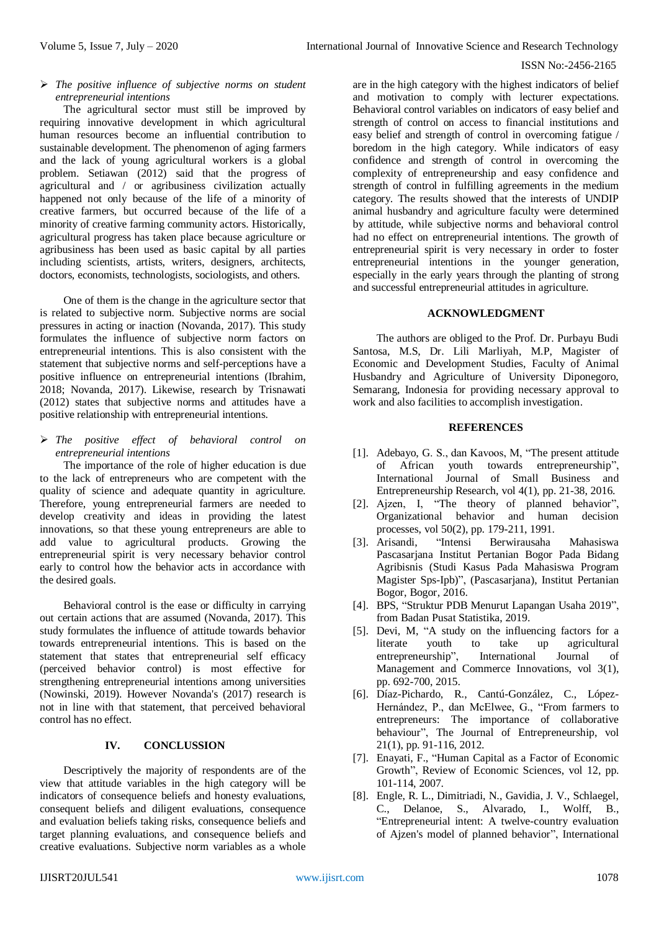# *The positive influence of subjective norms on student entrepreneurial intentions*

The agricultural sector must still be improved by requiring innovative development in which agricultural human resources become an influential contribution to sustainable development. The phenomenon of aging farmers and the lack of young agricultural workers is a global problem. Setiawan (2012) said that the progress of agricultural and / or agribusiness civilization actually happened not only because of the life of a minority of creative farmers, but occurred because of the life of a minority of creative farming community actors. Historically, agricultural progress has taken place because agriculture or agribusiness has been used as basic capital by all parties including scientists, artists, writers, designers, architects, doctors, economists, technologists, sociologists, and others.

One of them is the change in the agriculture sector that is related to subjective norm. Subjective norms are social pressures in acting or inaction (Novanda, 2017). This study formulates the influence of subjective norm factors on entrepreneurial intentions. This is also consistent with the statement that subjective norms and self-perceptions have a positive influence on entrepreneurial intentions (Ibrahim, 2018; Novanda, 2017). Likewise, research by Trisnawati (2012) states that subjective norms and attitudes have a positive relationship with entrepreneurial intentions.

 *The positive effect of behavioral control on entrepreneurial intentions*

The importance of the role of higher education is due to the lack of entrepreneurs who are competent with the quality of science and adequate quantity in agriculture. Therefore, young entrepreneurial farmers are needed to develop creativity and ideas in providing the latest innovations, so that these young entrepreneurs are able to add value to agricultural products. Growing the entrepreneurial spirit is very necessary behavior control early to control how the behavior acts in accordance with the desired goals.

Behavioral control is the ease or difficulty in carrying out certain actions that are assumed (Novanda, 2017). This study formulates the influence of attitude towards behavior towards entrepreneurial intentions. This is based on the statement that states that entrepreneurial self efficacy (perceived behavior control) is most effective for strengthening entrepreneurial intentions among universities (Nowinski, 2019). However Novanda's (2017) research is not in line with that statement, that perceived behavioral control has no effect.

# **IV. CONCLUSSION**

Descriptively the majority of respondents are of the view that attitude variables in the high category will be indicators of consequence beliefs and honesty evaluations, consequent beliefs and diligent evaluations, consequence and evaluation beliefs taking risks, consequence beliefs and target planning evaluations, and consequence beliefs and creative evaluations. Subjective norm variables as a whole

are in the high category with the highest indicators of belief and motivation to comply with lecturer expectations. Behavioral control variables on indicators of easy belief and strength of control on access to financial institutions and easy belief and strength of control in overcoming fatigue / boredom in the high category. While indicators of easy confidence and strength of control in overcoming the complexity of entrepreneurship and easy confidence and strength of control in fulfilling agreements in the medium category. The results showed that the interests of UNDIP animal husbandry and agriculture faculty were determined by attitude, while subjective norms and behavioral control had no effect on entrepreneurial intentions. The growth of entrepreneurial spirit is very necessary in order to foster entrepreneurial intentions in the younger generation, especially in the early years through the planting of strong and successful entrepreneurial attitudes in agriculture.

#### **ACKNOWLEDGMENT**

The authors are obliged to the Prof. Dr. Purbayu Budi Santosa, M.S, Dr. Lili Marliyah, M.P, Magister of Economic and Development Studies, Faculty of Animal Husbandry and Agriculture of University Diponegoro, Semarang, Indonesia for providing necessary approval to work and also facilities to accomplish investigation.

#### **REFERENCES**

- [1]. Adebayo, G. S., dan Kavoos, M, "The present attitude of African youth towards entrepreneurship", International Journal of Small Business and Entrepreneurship Research, vol 4(1), pp. 21-38, 2016.
- [2]. Ajzen, I, "The theory of planned behavior", Organizational behavior and human decision processes, vol 50(2), pp. 179-211, 1991.<br>[3]. Arisandi, "Intensi Berwirausaha
- [3]. Arisandi, "Intensi Berwirausaha Mahasiswa Pascasarjana Institut Pertanian Bogor Pada Bidang Agribisnis (Studi Kasus Pada Mahasiswa Program Magister Sps-Ipb)", (Pascasarjana), Institut Pertanian Bogor, Bogor, 2016.
- [4]. BPS, "Struktur PDB Menurut Lapangan Usaha 2019", from Badan Pusat Statistika, 2019.
- [5]. Devi, M, "A study on the influencing factors for a literate youth to take up agricultural entrepreneurship", International Journal of Management and Commerce Innovations, vol 3(1), pp. 692-700, 2015.
- [6]. Díaz-Pichardo, R., Cantú-González, C., López-Hernández, P., dan McElwee, G., "From farmers to entrepreneurs: The importance of collaborative behaviour", The Journal of Entrepreneurship, vol 21(1), pp. 91-116, 2012.
- [7]. Enayati, F., "Human Capital as a Factor of Economic Growth", Review of Economic Sciences, vol 12, pp. 101-114, 2007.
- [8]. Engle, R. L., Dimitriadi, N., Gavidia, J. V., Schlaegel, C., Delanoe, S., Alvarado, I., Wolff, B., "Entrepreneurial intent: A twelve-country evaluation of Ajzen's model of planned behavior", International